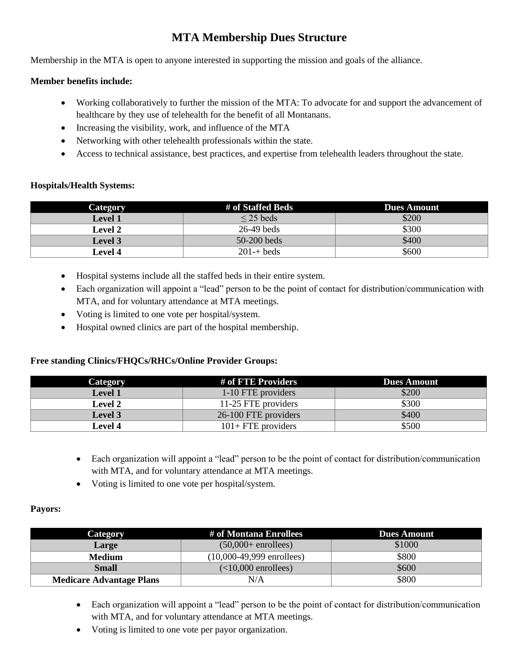# **MTA Membership Dues Structure**

Membership in the MTA is open to anyone interested in supporting the mission and goals of the alliance.

# **Member benefits include:**

- Working collaboratively to further the mission of the MTA: To advocate for and support the advancement of healthcare by they use of telehealth for the benefit of all Montanans.
- Increasing the visibility, work, and influence of the MTA
- Networking with other telehealth professionals within the state.
- Access to technical assistance, best practices, and expertise from telehealth leaders throughout the state.

## **Hospitals/Health Systems:**

| Category       | # of Staffed Beds   | <b>Dues Amount</b> |
|----------------|---------------------|--------------------|
| <b>Level 1</b> | $\leq$ 25 beds      | \$200              |
| <b>Level 2</b> | $26-49$ beds        | \$300              |
| <b>Level</b> 3 | $50-200$ beds       | \$400              |
| <b>Level 4</b> | $201 - \text{heds}$ | \$600              |

- Hospital systems include all the staffed beds in their entire system.
- Each organization will appoint a "lead" person to be the point of contact for distribution/communication with MTA, and for voluntary attendance at MTA meetings.
- Voting is limited to one vote per hospital/system.
- Hospital owned clinics are part of the hospital membership.

## **Free standing Clinics/FHQCs/RHCs/Online Provider Groups:**

| Category       | # of FTE Providers    | Dues Amount |
|----------------|-----------------------|-------------|
| <b>Level 1</b> | 1-10 FTE providers    | \$200       |
| <b>Level 2</b> | 11-25 FTE providers   | \$300       |
| Level 3        | 26-100 FTE providers  | \$400       |
| <b>Level 4</b> | $101 + FTE$ providers | \$500       |

- Each organization will appoint a "lead" person to be the point of contact for distribution/communication with MTA, and for voluntary attendance at MTA meetings.
- Voting is limited to one vote per hospital/system.

#### **Payors:**

| <b>Category</b>                 | # of Montana Enrollees      | <b>Dues Amount</b> |
|---------------------------------|-----------------------------|--------------------|
| <b>Large</b>                    | $(50,000+$ enrollees)       | \$1000             |
| <b>Medium</b>                   | $(10,000-49,999$ enrollees) | \$800              |
| <b>Small</b>                    | $(<10,000$ enrollees)       | \$600              |
| <b>Medicare Advantage Plans</b> | N/A                         | \$800              |

- Each organization will appoint a "lead" person to be the point of contact for distribution/communication with MTA, and for voluntary attendance at MTA meetings.
- Voting is limited to one vote per payor organization.